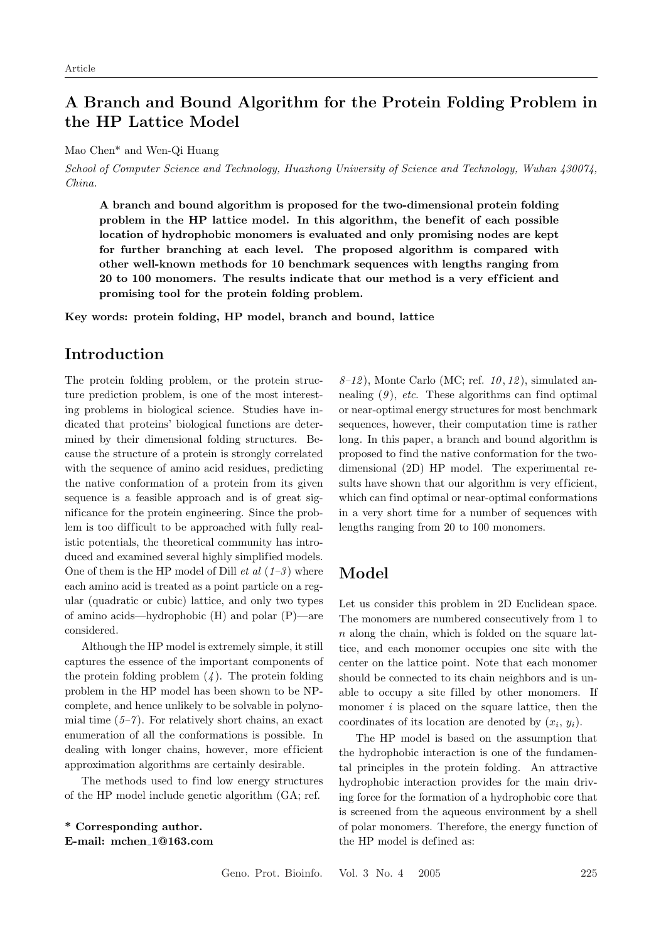## A Branch and Bound Algorithm for the Protein Folding Problem in the HP Lattice Model

#### Mao Chen\* and Wen-Qi Huang

School of Computer Science and Technology, Huazhong University of Science and Technology, Wuhan 430074, China.

A branch and bound algorithm is proposed for the two-dimensional protein folding problem in the HP lattice model. In this algorithm, the benefit of each possible location of hydrophobic monomers is evaluated and only promising nodes are kept for further branching at each level. The proposed algorithm is compared with other well-known methods for 10 benchmark sequences with lengths ranging from 20 to 100 monomers. The results indicate that our method is a very efficient and promising tool for the protein folding problem.

Key words: protein folding, HP model, branch and bound, lattice

#### Introduction

The protein folding problem, or the protein structure prediction problem, is one of the most interesting problems in biological science. Studies have indicated that proteins' biological functions are determined by their dimensional folding structures. Because the structure of a protein is strongly correlated with the sequence of amino acid residues, predicting the native conformation of a protein from its given sequence is a feasible approach and is of great significance for the protein engineering. Since the problem is too difficult to be approached with fully realistic potentials, the theoretical community has introduced and examined several highly simplified models. One of them is the HP model of Dill *et al*  $(1-3)$  where each amino acid is treated as a point particle on a regular (quadratic or cubic) lattice, and only two types of amino acids—hydrophobic (H) and polar (P)—are considered.

Although the HP model is extremely simple, it still captures the essence of the important components of the protein folding problem  $(4)$ . The protein folding problem in the HP model has been shown to be NPcomplete, and hence unlikely to be solvable in polynomial time  $(5-7)$ . For relatively short chains, an exact enumeration of all the conformations is possible. In dealing with longer chains, however, more efficient approximation algorithms are certainly desirable.

The methods used to find low energy structures of the HP model include genetic algorithm (GA; ref.

\* Corresponding author. E-mail: mchen 1@163.com

 $8-12$ ), Monte Carlo (MC; ref. 10, 12), simulated annealing  $(9)$ , etc. These algorithms can find optimal or near-optimal energy structures for most benchmark sequences, however, their computation time is rather long. In this paper, a branch and bound algorithm is proposed to find the native conformation for the twodimensional (2D) HP model. The experimental results have shown that our algorithm is very efficient, which can find optimal or near-optimal conformations in a very short time for a number of sequences with lengths ranging from 20 to 100 monomers.

#### Model

Let us consider this problem in 2D Euclidean space. The monomers are numbered consecutively from 1 to n along the chain, which is folded on the square lattice, and each monomer occupies one site with the center on the lattice point. Note that each monomer should be connected to its chain neighbors and is unable to occupy a site filled by other monomers. If monomer  $i$  is placed on the square lattice, then the coordinates of its location are denoted by  $(x_i, y_i)$ .

The HP model is based on the assumption that the hydrophobic interaction is one of the fundamental principles in the protein folding. An attractive hydrophobic interaction provides for the main driving force for the formation of a hydrophobic core that is screened from the aqueous environment by a shell of polar monomers. Therefore, the energy function of the HP model is defined as: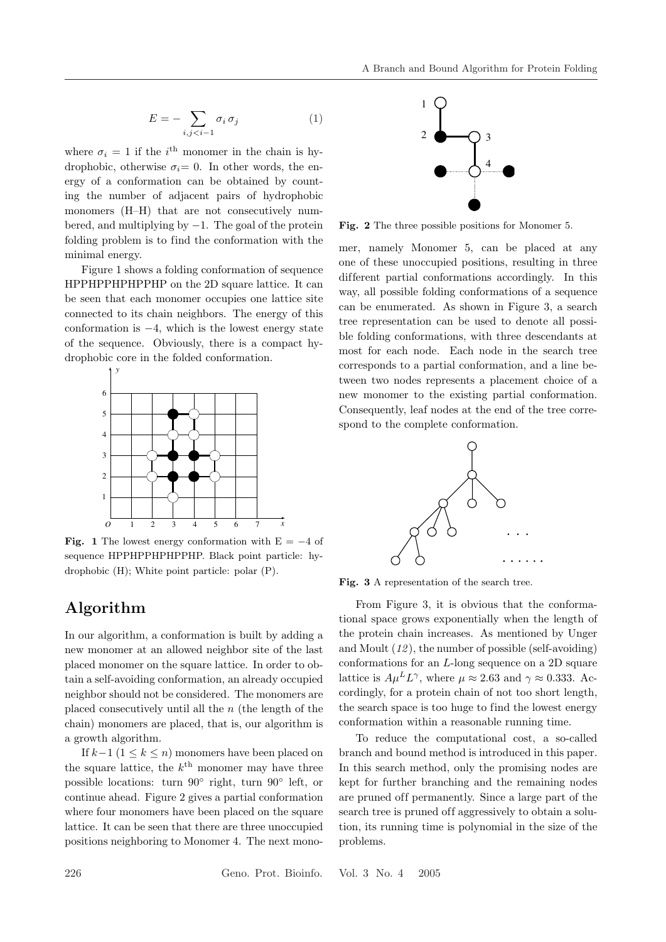$$
E = -\sum_{i,j
$$

where  $\sigma_i = 1$  if the *i*<sup>th</sup> monomer in the chain is hydrophobic, otherwise  $\sigma_i=0$ . In other words, the energy of a conformation can be obtained by counting the number of adjacent pairs of hydrophobic monomers (H–H) that are not consecutively numbered, and multiplying by  $-1$ . The goal of the protein folding problem is to find the conformation with the minimal energy.

Figure 1 shows a folding conformation of sequence HPPHPPHPHPPHP on the 2D square lattice. It can be seen that each monomer occupies one lattice site connected to its chain neighbors. The energy of this conformation is  $-4$ , which is the lowest energy state of the sequence. Obviously, there is a compact hydrophobic core in the folded conformation.



Fig. 1 The lowest energy conformation with  $E = -4$  of sequence HPPHPPHPHPPHP. Black point particle: hydrophobic (H); White point particle: polar (P).

## Algorithm

In our algorithm, a conformation is built by adding a new monomer at an allowed neighbor site of the last placed monomer on the square lattice. In order to obtain a self-avoiding conformation, an already occupied neighbor should not be considered. The monomers are placed consecutively until all the  $n$  (the length of the chain) monomers are placed, that is, our algorithm is a growth algorithm.

If  $k-1$  (1 ≤  $k ≤ n$ ) monomers have been placed on the square lattice, the  $k^{\text{th}}$  monomer may have three possible locations: turn 90° right, turn 90° left, or continue ahead. Figure 2 gives a partial conformation where four monomers have been placed on the square lattice. It can be seen that there are three unoccupied positions neighboring to Monomer 4. The next mono-



Fig. 2 The three possible positions for Monomer 5.

mer, namely Monomer 5, can be placed at any one of these unoccupied positions, resulting in three different partial conformations accordingly. In this way, all possible folding conformations of a sequence can be enumerated. As shown in Figure 3, a search tree representation can be used to denote all possible folding conformations, with three descendants at most for each node. Each node in the search tree corresponds to a partial conformation, and a line between two nodes represents a placement choice of a new monomer to the existing partial conformation. Consequently, leaf nodes at the end of the tree correspond to the complete conformation.



Fig. 3 A representation of the search tree.

From Figure 3, it is obvious that the conformational space grows exponentially when the length of the protein chain increases. As mentioned by Unger and Moult  $(12)$ , the number of possible (self-avoiding) conformations for an L-long sequence on a 2D square lattice is  $A\mu^L L^{\gamma}$ , where  $\mu \approx 2.63$  and  $\gamma \approx 0.333$ . Accordingly, for a protein chain of not too short length, the search space is too huge to find the lowest energy conformation within a reasonable running time.

To reduce the computational cost, a so-called branch and bound method is introduced in this paper. In this search method, only the promising nodes are kept for further branching and the remaining nodes are pruned off permanently. Since a large part of the search tree is pruned off aggressively to obtain a solution, its running time is polynomial in the size of the problems.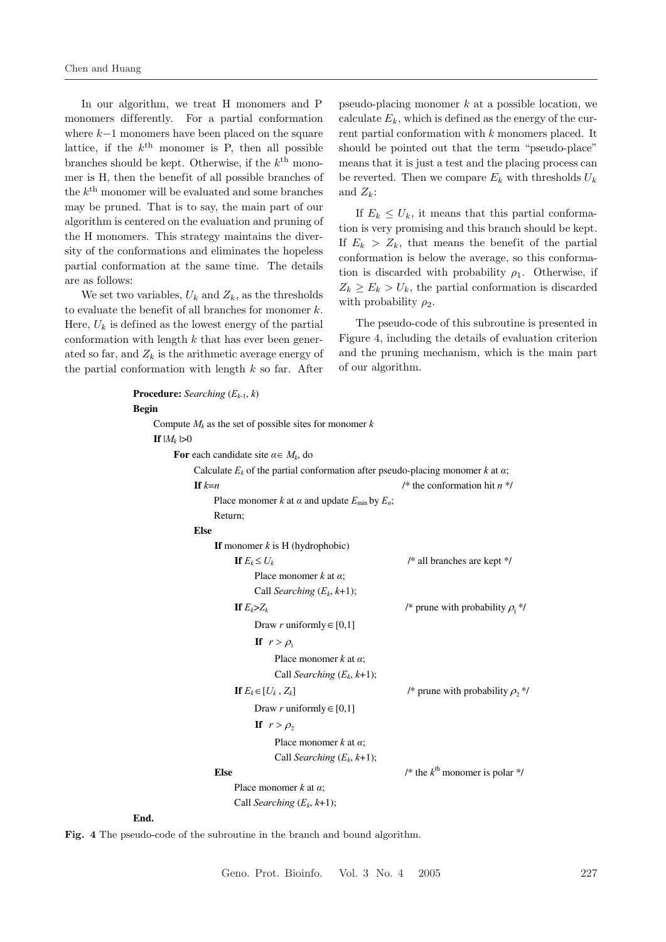In our algorithm, we treat H monomers and P monomers differently. For a partial conformation where  $k-1$  monomers have been placed on the square lattice, if the  $k^{\text{th}}$  monomer is P, then all possible branches should be kept. Otherwise, if the  $k^{\text{th}}$  monomer is H, then the benefit of all possible branches of the  $k^{\text{th}}$  monomer will be evaluated and some branches may be pruned. That is to say, the main part of our algorithm is centered on the evaluation and pruning of the H monomers. This strategy maintains the diversity of the conformations and eliminates the hopeless partial conformation at the same time. The details are as follows:

We set two variables,  $U_k$  and  $Z_k$ , as the thresholds to evaluate the benefit of all branches for monomer  $k$ . Here,  $U_k$  is defined as the lowest energy of the partial conformation with length  $k$  that has ever been generated so far, and  $Z_k$  is the arithmetic average energy of the partial conformation with length  $k$  so far. After

pseudo-placing monomer  $k$  at a possible location, we calculate  $E_k$ , which is defined as the energy of the current partial conformation with k monomers placed. It should be pointed out that the term "pseudo-place" means that it is just a test and the placing process can be reverted. Then we compare  $E_k$  with thresholds  $U_k$ and  $Z_k$ :

If  $E_k \leq U_k$ , it means that this partial conformation is very promising and this branch should be kept. If  $E_k > Z_k$ , that means the benefit of the partial conformation is below the average, so this conformation is discarded with probability  $\rho_1$ . Otherwise, if  $Z_k \geq E_k > U_k$ , the partial conformation is discarded with probability  $\rho_2$ .

The pseudo-code of this subroutine is presented in Figure 4, including the details of evaluation criterion and the pruning mechanism, which is the main part of our algorithm.

| <b>Procedure:</b> Searching $(E_{k-1}, k)$                                               |                                            |
|------------------------------------------------------------------------------------------|--------------------------------------------|
| <b>Begin</b>                                                                             |                                            |
| Compute $M_k$ as the set of possible sites for monomer k                                 |                                            |
| If $ M_k >0$                                                                             |                                            |
| For each candidate site $\alpha \in M_k$ , do                                            |                                            |
| Calculate $E_k$ of the partial conformation after pseudo-placing monomer k at $\alpha$ ; |                                            |
| If $k=n$                                                                                 | /* the conformation hit $n$ */             |
| Place monomer k at $\alpha$ and update $E_{\text{min}}$ by $E_n$ ;                       |                                            |
| Return;                                                                                  |                                            |
| <b>Else</b>                                                                              |                                            |
| If monomer $k$ is H (hydrophobic)                                                        |                                            |
| If $E_k \leq U_k$                                                                        | /* all branches are kept */                |
| Place monomer k at $\alpha$ ;                                                            |                                            |
| Call Searching $(E_k, k+1)$ ;                                                            |                                            |
| If $E_k>Z_k$                                                                             | /* prune with probability $\rho_1$ */      |
| Draw r uniformly $\in [0,1]$                                                             |                                            |
| If $r > \rho_1$                                                                          |                                            |
| Place monomer k at $\alpha$ ;                                                            |                                            |
| Call Searching $(E_k, k+1)$ ;                                                            |                                            |
| If $E_k \in [U_k, Z_k]$                                                                  | /* prune with probability $\rho$ , */      |
| Draw r uniformly $\in [0,1]$                                                             |                                            |
| If $r > \rho$ ,                                                                          |                                            |
| Place monomer k at $\alpha$ ;                                                            |                                            |
| Call Searching $(E_k, k+1)$ ;                                                            |                                            |
| <b>Else</b>                                                                              | /* the $k^{\text{th}}$ monomer is polar */ |
| Place monomer k at $\alpha$ ;                                                            |                                            |
| Call Searching $(E_k, k+1)$ ;                                                            |                                            |

**End.**

Fig. 4 The pseudo-code of the subroutine in the branch and bound algorithm.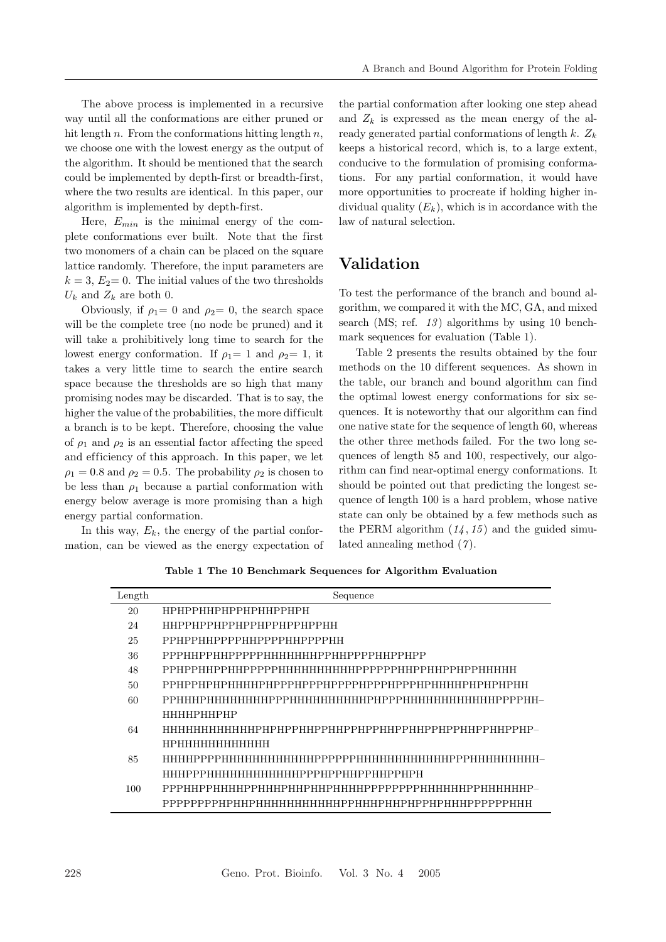The above process is implemented in a recursive way until all the conformations are either pruned or hit length n. From the conformations hitting length  $n$ , we choose one with the lowest energy as the output of the algorithm. It should be mentioned that the search could be implemented by depth-first or breadth-first, where the two results are identical. In this paper, our algorithm is implemented by depth-first.

Here,  $E_{min}$  is the minimal energy of the complete conformations ever built. Note that the first two monomers of a chain can be placed on the square lattice randomly. Therefore, the input parameters are  $k = 3, E_2 = 0$ . The initial values of the two thresholds  $U_k$  and  $Z_k$  are both 0.

Obviously, if  $\rho_1=0$  and  $\rho_2=0$ , the search space will be the complete tree (no node be pruned) and it will take a prohibitively long time to search for the lowest energy conformation. If  $\rho_1=1$  and  $\rho_2=1$ , it takes a very little time to search the entire search space because the thresholds are so high that many promising nodes may be discarded. That is to say, the higher the value of the probabilities, the more difficult a branch is to be kept. Therefore, choosing the value of  $\rho_1$  and  $\rho_2$  is an essential factor affecting the speed and efficiency of this approach. In this paper, we let  $\rho_1 = 0.8$  and  $\rho_2 = 0.5$ . The probability  $\rho_2$  is chosen to be less than  $\rho_1$  because a partial conformation with energy below average is more promising than a high energy partial conformation.

In this way,  $E_k$ , the energy of the partial conformation, can be viewed as the energy expectation of

the partial conformation after looking one step ahead and  $Z_k$  is expressed as the mean energy of the already generated partial conformations of length k.  $Z_k$ keeps a historical record, which is, to a large extent, conducive to the formulation of promising conformations. For any partial conformation, it would have more opportunities to procreate if holding higher individual quality  $(E_k)$ , which is in accordance with the law of natural selection.

# Validation

To test the performance of the branch and bound algorithm, we compared it with the MC, GA, and mixed search (MS; ref.  $13$ ) algorithms by using 10 benchmark sequences for evaluation (Table 1).

Table 2 presents the results obtained by the four methods on the 10 different sequences. As shown in the table, our branch and bound algorithm can find the optimal lowest energy conformations for six sequences. It is noteworthy that our algorithm can find one native state for the sequence of length 60, whereas the other three methods failed. For the two long sequences of length 85 and 100, respectively, our algorithm can find near-optimal energy conformations. It should be pointed out that predicting the longest sequence of length 100 is a hard problem, whose native state can only be obtained by a few methods such as the PERM algorithm  $(14, 15)$  and the guided simulated annealing method  $(7)$ .

| Length | Sequence                                        |
|--------|-------------------------------------------------|
| 20     | НРНРРННРНРРНРННРРНРН                            |
| 24     | ННРРНРРНРРНРРНРРНРРНРРНН                        |
| 25     | РРНРРННРРРРННРРРРННРРРРНН                       |
| 36     | PPPHHPPHHPPPPPHHHHHHHPPHHPPPPHHPPHPP            |
| 48     |                                                 |
| 50     |                                                 |
| 60     |                                                 |
|        | <b>ННННРННРНР</b>                               |
| 64     | ННННННННННННРНРНРРННРРННРРННРРННРРНРРННРРННРРНР |
|        | <b>НРНННННННННННН</b>                           |
| 85     |                                                 |
|        | НННРРРНННННННННННРРРНРРННРРННРРНРН              |
| 100    |                                                 |
|        |                                                 |

Table 1 The 10 Benchmark Sequences for Algorithm Evaluation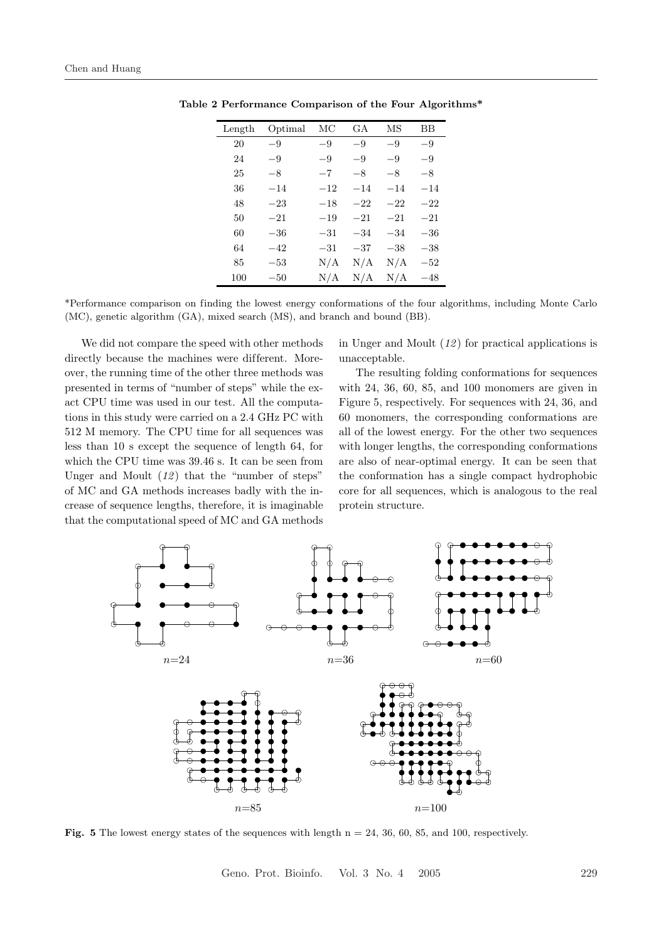| Length | Optimal | МC    | GА    | MS    | BB    |
|--------|---------|-------|-------|-------|-------|
| 20     | $-9$    | -9    | -9    | -9    | -9    |
| 24     | $-9$    | -9    | -9    | -9    | -9    |
| 25     | $-8$    | $-7$  | $-8$  | $-8$  | $-8$  |
| 36     | $-14$   | $-12$ | $-14$ | $-14$ | $-14$ |
| 48     | $-23$   | $-18$ | $-22$ | $-22$ | $-22$ |
| 50     | $-21$   | $-19$ | $-21$ | $-21$ | $-21$ |
| 60     | $-36$   | $-31$ | $-34$ | $-34$ | -36   |
| 64     | $-42$   | $-31$ | $-37$ | $-38$ | $-38$ |
| 85     | $-53$   | N/A   | N/A   | N/A   | $-52$ |
| 100    | $-50$   | N/A   | N/A   | N/A   | $-48$ |

Table 2 Performance Comparison of the Four Algorithms\*

\*Performance comparison on finding the lowest energy conformations of the four algorithms, including Monte Carlo (MC), genetic algorithm (GA), mixed search (MS), and branch and bound (BB).

We did not compare the speed with other methods directly because the machines were different. Moreover, the running time of the other three methods was presented in terms of "number of steps" while the exact CPU time was used in our test. All the computations in this study were carried on a 2.4 GHz PC with 512 M memory. The CPU time for all sequences was less than 10 s except the sequence of length 64, for which the CPU time was 39.46 s. It can be seen from Unger and Moult  $(12)$  that the "number of steps" of MC and GA methods increases badly with the increase of sequence lengths, therefore, it is imaginable that the computational speed of MC and GA methods in Unger and Moult  $(12)$  for practical applications is unacceptable.

The resulting folding conformations for sequences with 24, 36, 60, 85, and 100 monomers are given in Figure 5, respectively. For sequences with 24, 36, and 60 monomers, the corresponding conformations are all of the lowest energy. For the other two sequences with longer lengths, the corresponding conformations are also of near-optimal energy. It can be seen that the conformation has a single compact hydrophobic core for all sequences, which is analogous to the real protein structure.



Fig. 5 The lowest energy states of the sequences with length  $n = 24, 36, 60, 85,$  and 100, respectively.

Geno. Prot. Bioinfo. Vol. 3 No. 4 2005 229